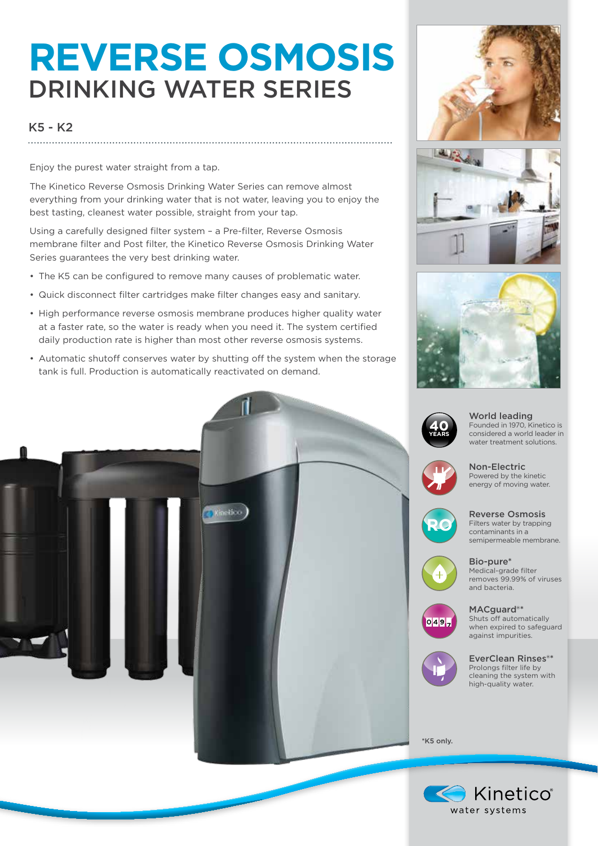## **REVERSE OSMOSIS** DRINKING WATER SERIES

## K5 - K2

Enjoy the purest water straight from a tap.

The Kinetico Reverse Osmosis Drinking Water Series can remove almost everything from your drinking water that is not water, leaving you to enjoy the best tasting, cleanest water possible, straight from your tap.

Using a carefully designed filter system – a Pre-filter, Reverse Osmosis membrane filter and Post filter, the Kinetico Reverse Osmosis Drinking Water Series guarantees the very best drinking water.

- The K5 can be configured to remove many causes of problematic water.
- Quick disconnect filter cartridges make filter changes easy and sanitary.
- High performance reverse osmosis membrane produces higher quality water at a faster rate, so the water is ready when you need it. The system certified daily production rate is higher than most other reverse osmosis systems.
- Automatic shutoff conserves water by shutting off the system when the storage tank is full. Production is automatically reactivated on demand.







World leading Founded in 1970, Kinetico is considered a world leader in water treatment solutions.



Non-Electric Powered by the kinetic energy of moving water.



Reverse Osmosis Filters water by trapping contaminants in a semipermeable membrane.



Bio-pure\* Medical-grade filter removes 99.99% of viruses and bacteria.



MACguard<sup>®\*</sup> Shuts off automatically when expired to safeguard against impurities.



EverClean Rinses®\* Prolongs filter life by cleaning the system with high-quality water.